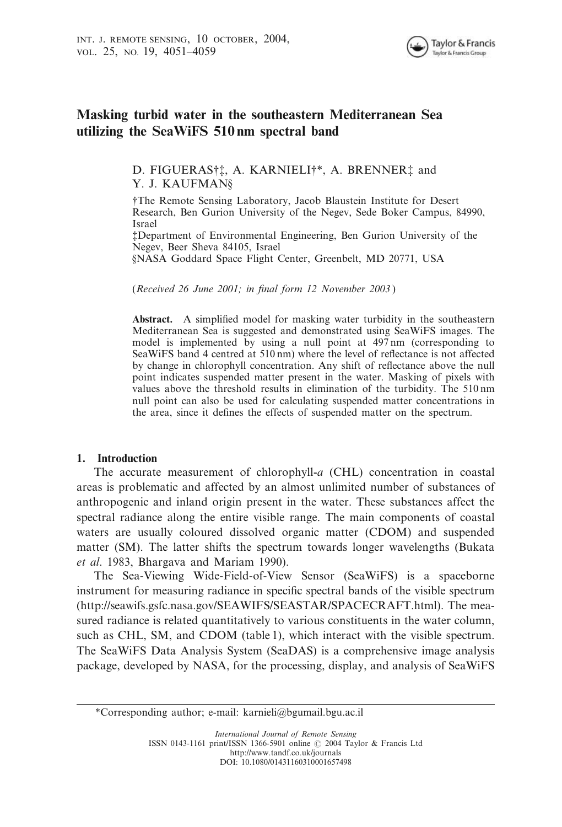

# Masking turbid water in the southeastern Mediterranean Sea utilizing the SeaWiFS 510 nm spectral band

D. FIGUERAS† ${\ddagger}$ , A. KARNIELI ${\ddagger}^*$ , A. BRENNER ${\ddagger}$  and Y. J. KAUFMAN§

{The Remote Sensing Laboratory, Jacob Blaustein Institute for Desert Research, Ben Gurion University of the Negev, Sede Boker Campus, 84990, Israel

{Department of Environmental Engineering, Ben Gurion University of the Negev, Beer Sheva 84105, Israel

§NASA Goddard Space Flight Center, Greenbelt, MD 20771, USA

(Received 26 June 2001; in final form 12 November 2003 )

Abstract. A simplified model for masking water turbidity in the southeastern Mediterranean Sea is suggested and demonstrated using SeaWiFS images. The model is implemented by using a null point at 497 nm (corresponding to SeaWiFS band 4 centred at 510 nm) where the level of reflectance is not affected by change in chlorophyll concentration. Any shift of reflectance above the null point indicates suspended matter present in the water. Masking of pixels with values above the threshold results in elimination of the turbidity. The 510 nm null point can also be used for calculating suspended matter concentrations in the area, since it defines the effects of suspended matter on the spectrum.

### 1. Introduction

The accurate measurement of chlorophyll-a (CHL) concentration in coastal areas is problematic and affected by an almost unlimited number of substances of anthropogenic and inland origin present in the water. These substances affect the spectral radiance along the entire visible range. The main components of coastal waters are usually coloured dissolved organic matter (CDOM) and suspended matter (SM). The latter shifts the spectrum towards longer wavelengths (Bukata et al. 1983, Bhargava and Mariam 1990).

The Sea-Viewing Wide-Field-of-View Sensor (SeaWiFS) is a spaceborne instrument for measuring radiance in specific spectral bands of the visible spectrum (http://seawifs.gsfc.nasa.gov/SEAWIFS/SEASTAR/SPACECRAFT.html). The measured radiance is related quantitatively to various constituents in the water column, such as CHL, SM, and CDOM (table 1), which interact with the visible spectrum. The SeaWiFS Data Analysis System (SeaDAS) is a comprehensive image analysis package, developed by NASA, for the processing, display, and analysis of SeaWiFS

\*Corresponding author; e-mail: karnieli@bgumail.bgu.ac.il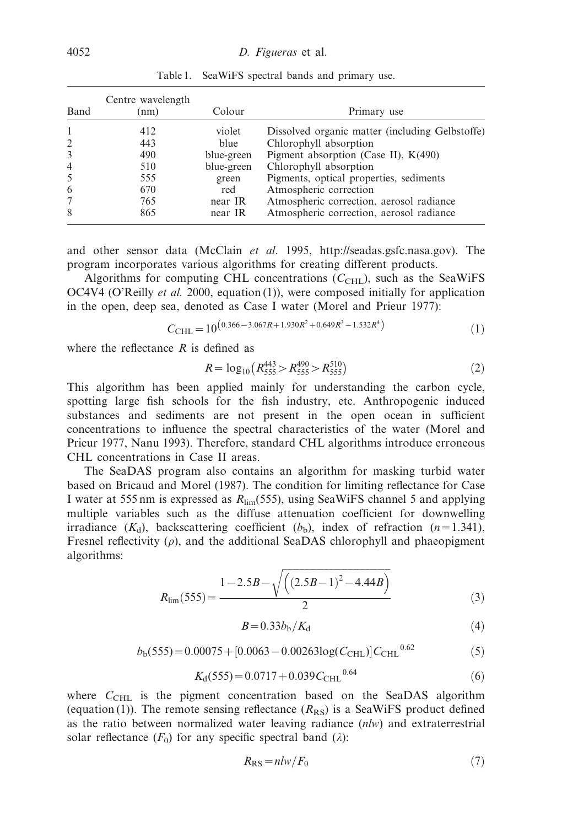| Band           | Centre wavelength<br>(nm) | Colour     | Primary use                                     |
|----------------|---------------------------|------------|-------------------------------------------------|
|                | 412                       | violet     | Dissolved organic matter (including Gelbstoffe) |
| $\overline{2}$ | 443                       | blue       | Chlorophyll absorption                          |
| 3              | 490                       | blue-green | Pigment absorption (Case II), K(490)            |
| $\overline{4}$ | 510                       | blue-green | Chlorophyll absorption                          |
| 5              | 555                       | green      | Pigments, optical properties, sediments         |
| 6              | 670                       | red        | Atmospheric correction                          |
| 7              | 765                       | near IR    | Atmospheric correction, aerosol radiance        |
| 8              | 865                       | near IR    | Atmospheric correction, aerosol radiance        |

Table 1. SeaWiFS spectral bands and primary use.

and other sensor data (McClain et al. 1995, http://seadas.gsfc.nasa.gov). The program incorporates various algorithms for creating different products.

Algorithms for computing CHL concentrations  $(C<sub>CHL</sub>)$ , such as the SeaWiFS OC4V4 (O'Reilly *et al.* 2000, equation (1)), were composed initially for application in the open, deep sea, denoted as Case I water (Morel and Prieur 1977):

$$
C_{\text{CHL}} = 10^{(0.366 - 3.067R + 1.930R^2 + 0.649R^3 - 1.532R^4)}
$$
\n<sup>(1)</sup>

where the reflectance  $R$  is defined as

$$
R = \log_{10} \left( R_{555}^{443} > R_{555}^{490} > R_{555}^{510} \right) \tag{2}
$$

This algorithm has been applied mainly for understanding the carbon cycle, spotting large fish schools for the fish industry, etc. Anthropogenic induced substances and sediments are not present in the open ocean in sufficient concentrations to influence the spectral characteristics of the water (Morel and Prieur 1977, Nanu 1993). Therefore, standard CHL algorithms introduce erroneous CHL concentrations in Case II areas.

The SeaDAS program also contains an algorithm for masking turbid water based on Bricaud and Morel (1987). The condition for limiting reflectance for Case I water at 555 nm is expressed as  $R_{\text{lim}}(555)$ , using SeaWiFS channel 5 and applying multiple variables such as the diffuse attenuation coefficient for downwelling irradiance  $(K_d)$ , backscattering coefficient  $(b_b)$ , index of refraction  $(n=1.341)$ , Fresnel reflectivity  $(\rho)$ , and the additional SeaDAS chlorophyll and phaeopigment algorithms:

$$
R_{\text{lim}}(555) = \frac{1 - 2.5B - \sqrt{\left((2.5B - 1)^2 - 4.44B\right)}}{2} \tag{3}
$$

$$
B = 0.33bb/Kd
$$
 (4)

$$
b_{b}(555) = 0.00075 + [0.0063 - 0.00263 \log(C_{\text{CHL}})] C_{\text{CHL}}^{0.62}
$$
 (5)

$$
K_{\rm d}(555) = 0.0717 + 0.039 C_{\rm CHL}^{0.64}
$$
 (6)

where  $C<sub>CHL</sub>$  is the pigment concentration based on the SeaDAS algorithm (equation (1)). The remote sensing reflectance  $(R_{RS})$  is a SeaWiFS product defined as the ratio between normalized water leaving radiance (nlw) and extraterrestrial solar reflectance  $(F_0)$  for any specific spectral band  $(\lambda)$ :

$$
R_{\rm RS} = n l w / F_0 \tag{7}
$$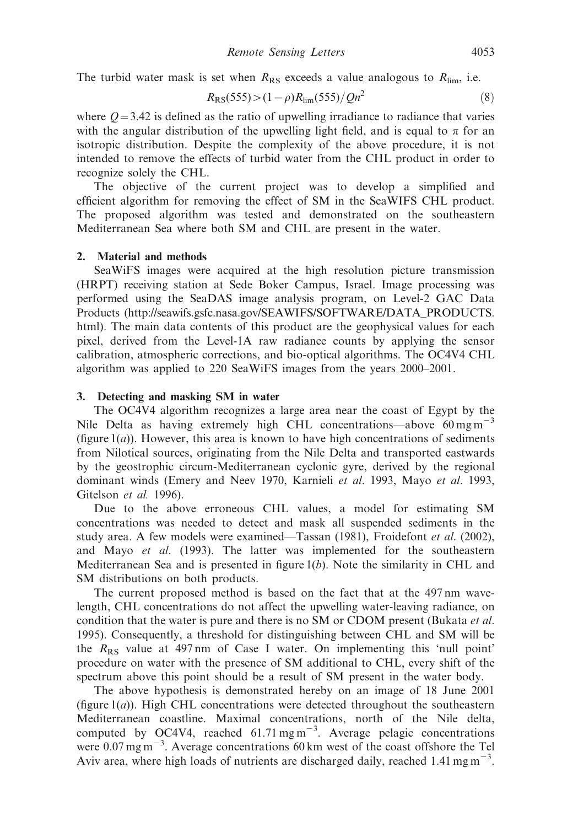The turbid water mask is set when  $R_{RS}$  exceeds a value analogous to  $R_{lim}$ , i.e.

$$
R_{\rm RS}(555) > (1 - \rho)R_{\rm lim}(555) / Qn^2 \tag{8}
$$

where  $Q=3.42$  is defined as the ratio of upwelling irradiance to radiance that varies with the angular distribution of the upwelling light field, and is equal to  $\pi$  for an isotropic distribution. Despite the complexity of the above procedure, it is not intended to remove the effects of turbid water from the CHL product in order to recognize solely the CHL.

The objective of the current project was to develop a simplified and efficient algorithm for removing the effect of SM in the SeaWIFS CHL product. The proposed algorithm was tested and demonstrated on the southeastern Mediterranean Sea where both SM and CHL are present in the water.

### 2. Material and methods

SeaWiFS images were acquired at the high resolution picture transmission (HRPT) receiving station at Sede Boker Campus, Israel. Image processing was performed using the SeaDAS image analysis program, on Level-2 GAC Data Products (http://seawifs.gsfc.nasa.gov/SEAWIFS/SOFTWARE/DATA\_PRODUCTS. html). The main data contents of this product are the geophysical values for each pixel, derived from the Level-1A raw radiance counts by applying the sensor calibration, atmospheric corrections, and bio-optical algorithms. The OC4V4 CHL algorithm was applied to 220 SeaWiFS images from the years 2000–2001.

#### 3. Detecting and masking SM in water

The OC4V4 algorithm recognizes a large area near the coast of Egypt by the Nile Delta as having extremely high CHL concentrations—above  $60 \text{ mg m}^{-3}$ (figure  $1(a)$ ). However, this area is known to have high concentrations of sediments from Nilotical sources, originating from the Nile Delta and transported eastwards by the geostrophic circum-Mediterranean cyclonic gyre, derived by the regional dominant winds (Emery and Neev 1970, Karnieli et al. 1993, Mayo et al. 1993, Gitelson et al. 1996).

Due to the above erroneous CHL values, a model for estimating SM concentrations was needed to detect and mask all suspended sediments in the study area. A few models were examined—Tassan (1981), Froidefont et al. (2002), and Mayo et al. (1993). The latter was implemented for the southeastern Mediterranean Sea and is presented in figure  $1(b)$ . Note the similarity in CHL and SM distributions on both products.

The current proposed method is based on the fact that at the 497 nm wavelength, CHL concentrations do not affect the upwelling water-leaving radiance, on condition that the water is pure and there is no SM or CDOM present (Bukata et al. 1995). Consequently, a threshold for distinguishing between CHL and SM will be the  $R_{RS}$  value at 497 nm of Case I water. On implementing this 'null point' procedure on water with the presence of SM additional to CHL, every shift of the spectrum above this point should be a result of SM present in the water body.

The above hypothesis is demonstrated hereby on an image of 18 June 2001 (figure  $1(a)$ ). High CHL concentrations were detected throughout the southeastern Mediterranean coastline. Maximal concentrations, north of the Nile delta, computed by OC4V4, reached  $61.71 \text{ mg m}^{-3}$ . Average pelagic concentrations were  $0.07 \text{ mg m}^{-3}$ . Average concentrations 60 km west of the coast offshore the Tel Aviv area, where high loads of nutrients are discharged daily, reached  $1.41 \text{ mg m}^{-3}$ .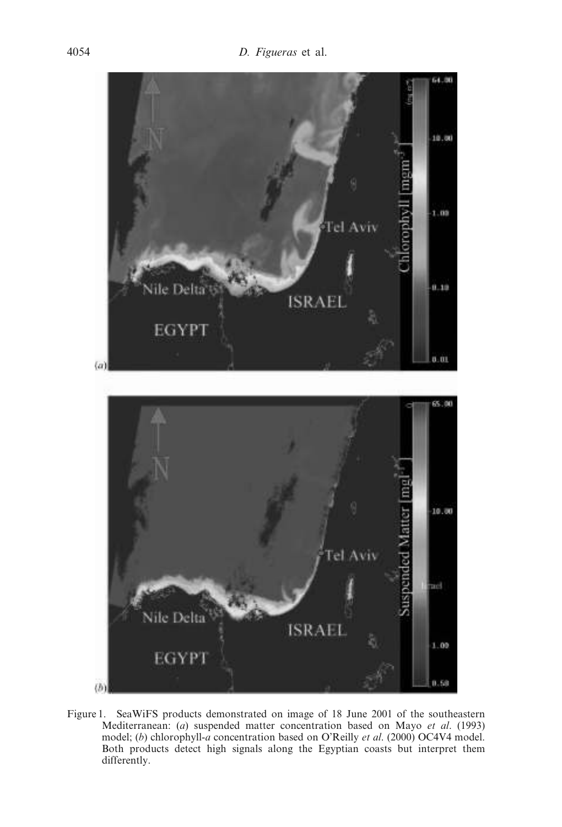

Figure 1. SeaWiFS products demonstrated on image of 18 June 2001 of the southeastern Mediterranean: (a) suspended matter concentration based on Mayo et al. (1993) model; (b) chlorophyll-a concentration based on O'Reilly et al. (2000) OC4V4 model. Both products detect high signals along the Egyptian coasts but interpret them differently.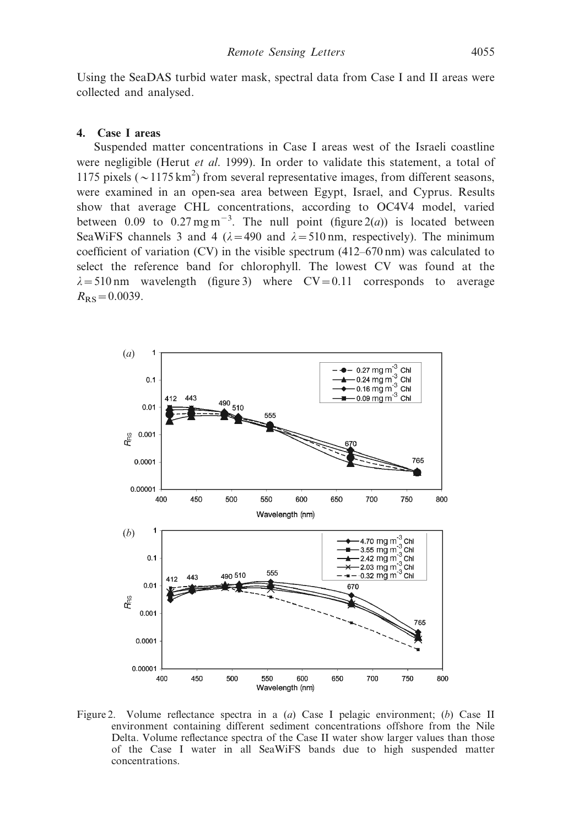Using the SeaDAS turbid water mask, spectral data from Case I and II areas were collected and analysed.

### 4. Case I areas

Suspended matter concentrations in Case I areas west of the Israeli coastline were negligible (Herut *et al.* 1999). In order to validate this statement, a total of 1175 pixels ( $\sim$  1175 km<sup>2</sup>) from several representative images, from different seasons, were examined in an open-sea area between Egypt, Israel, and Cyprus. Results show that average CHL concentrations, according to OC4V4 model, varied between 0.09 to  $0.27 \text{ mg m}^{-3}$ . The null point (figure 2(*a*)) is located between SeaWiFS channels 3 and 4 ( $\lambda$ =490 and  $\lambda$ =510 nm, respectively). The minimum coefficient of variation (CV) in the visible spectrum (412–670 nm) was calculated to select the reference band for chlorophyll. The lowest CV was found at the  $\lambda = 510$  nm wavelength (figure 3) where  $CV = 0.11$  corresponds to average  $R_{RS} = 0.0039$ .



Figure 2. Volume reflectance spectra in a (a) Case I pelagic environment; (b) Case II environment containing different sediment concentrations offshore from the Nile Delta. Volume reflectance spectra of the Case II water show larger values than those of the Case I water in all SeaWiFS bands due to high suspended matter concentrations.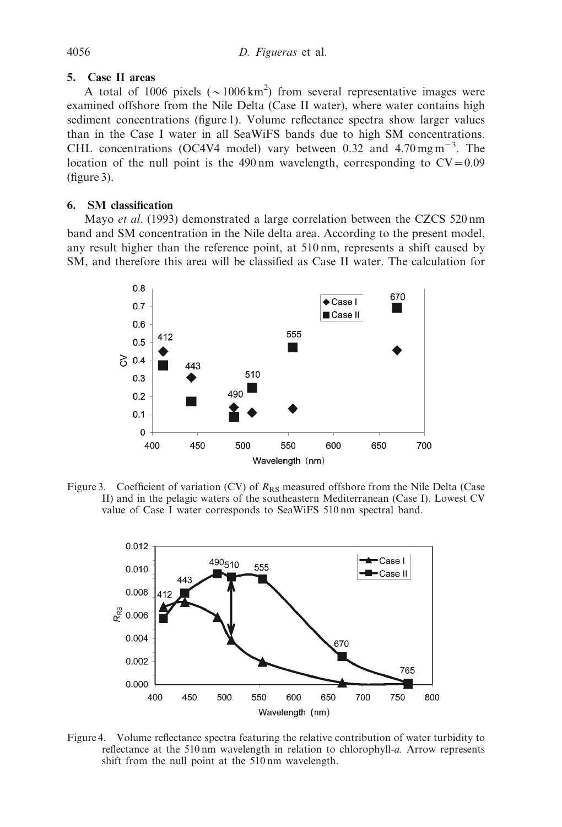## 5. Case II areas

A total of 1006 pixels ( $\sim$ 1006 km<sup>2</sup>) from several representative images were examined offshore from the Nile Delta (Case II water), where water contains high sediment concentrations (figure 1). Volume reflectance spectra show larger values than in the Case I water in all SeaWiFS bands due to high SM concentrations. CHL concentrations (OC4V4 model) vary between 0.32 and 4.70 mg m<sup>-3</sup>. The location of the null point is the 490 nm wavelength, corresponding to  $CV = 0.09$ (figure 3).

# 6. SM classification

Mayo et al. (1993) demonstrated a large correlation between the CZCS 520 nm band and SM concentration in the Nile delta area. According to the present model, any result higher than the reference point, at 510 nm, represents a shift caused by SM, and therefore this area will be classified as Case II water. The calculation for



Figure 3. Coefficient of variation (CV) of  $R_{RS}$  measured offshore from the Nile Delta (Case II) and in the pelagic waters of the southeastern Mediterranean (Case I). Lowest CV value of Case I water corresponds to SeaWiFS 510 nm spectral band.



Figure 4. Volume reflectance spectra featuring the relative contribution of water turbidity to reflectance at the 510 nm wavelength in relation to chlorophyll-a. Arrow represents shift from the null point at the 510 nm wavelength.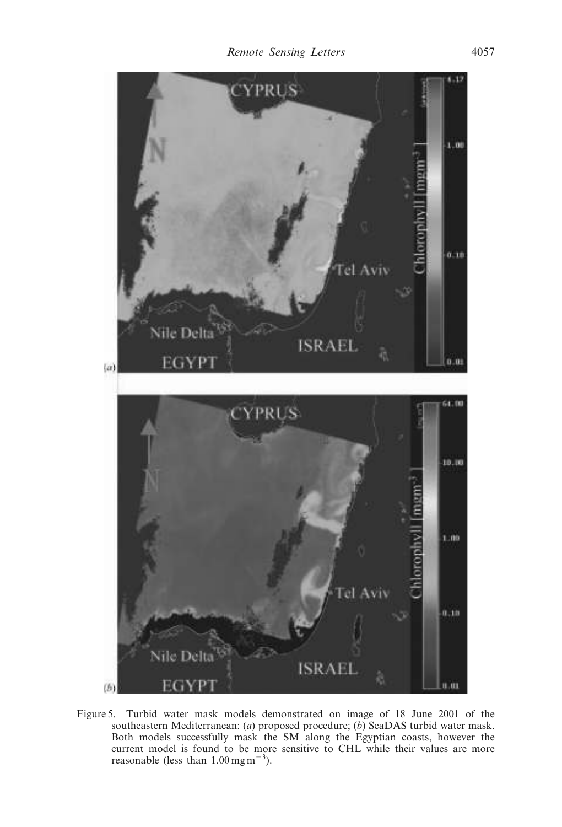

Figure 5. Turbid water mask models demonstrated on image of 18 June 2001 of the southeastern Mediterranean: (a) proposed procedure; (b) SeaDAS turbid water mask. Both models successfully mask the SM along the Egyptian coasts, however the current model is found to be more sensitive to CHL while their values are more reasonable (less than  $1.00 \text{ mg m}^{-3}$ ).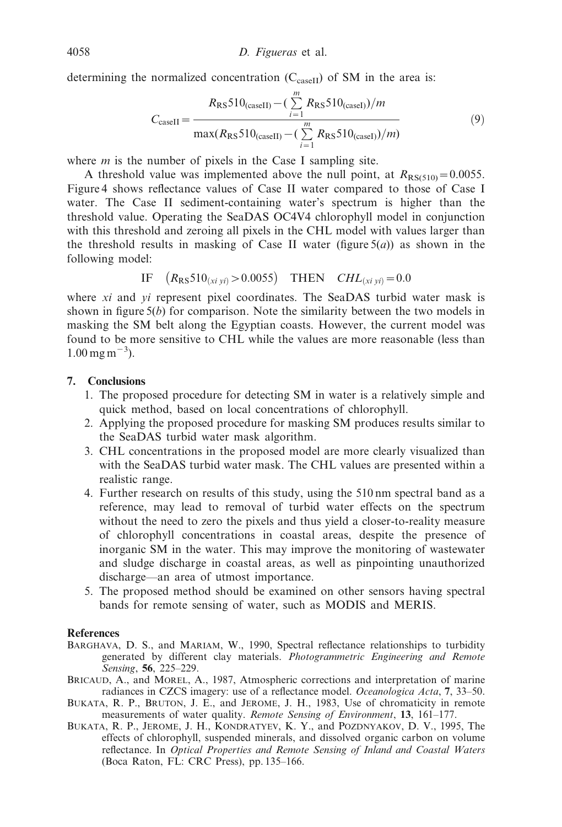determining the normalized concentration  $(C_{\text{caseII}})$  of SM in the area is:

$$
C_{\text{caseII}} = \frac{R_{\text{RS}} 510_{(\text{caseII})} - (\sum_{i=1}^{m} R_{\text{RS}} 510_{(\text{caseI})})/m}{\max(R_{\text{RS}} 510_{(\text{caseII})} - (\sum_{i=1}^{m} R_{\text{RS}} 510_{(\text{caseI})})/m)}
$$
(9)

where  $m$  is the number of pixels in the Case I sampling site.

A threshold value was implemented above the null point, at  $R_{RS(510)} = 0.0055$ . Figure 4 shows reflectance values of Case II water compared to those of Case I water. The Case II sediment-containing water's spectrum is higher than the threshold value. Operating the SeaDAS OC4V4 chlorophyll model in conjunction with this threshold and zeroing all pixels in the CHL model with values larger than the threshold results in masking of Case II water (figure  $5(a)$ ) as shown in the following model:

IF 
$$
(R_{RS}510_{(xi\ yi)} > 0.0055)
$$
 THEN  $CHL_{(xi\ yi)} = 0.0$ 

where xi and yi represent pixel coordinates. The SeaDAS turbid water mask is shown in figure  $5(b)$  for comparison. Note the similarity between the two models in masking the SM belt along the Egyptian coasts. However, the current model was found to be more sensitive to CHL while the values are more reasonable (less than  $1.00 \,\mathrm{mg\,m}^{-3}$ ).

## 7. Conclusions

- 1. The proposed procedure for detecting SM in water is a relatively simple and quick method, based on local concentrations of chlorophyll.
- 2. Applying the proposed procedure for masking SM produces results similar to the SeaDAS turbid water mask algorithm.
- 3. CHL concentrations in the proposed model are more clearly visualized than with the SeaDAS turbid water mask. The CHL values are presented within a realistic range.
- 4. Further research on results of this study, using the 510 nm spectral band as a reference, may lead to removal of turbid water effects on the spectrum without the need to zero the pixels and thus yield a closer-to-reality measure of chlorophyll concentrations in coastal areas, despite the presence of inorganic SM in the water. This may improve the monitoring of wastewater and sludge discharge in coastal areas, as well as pinpointing unauthorized discharge—an area of utmost importance.
- 5. The proposed method should be examined on other sensors having spectral bands for remote sensing of water, such as MODIS and MERIS.

#### References

- BARGHAVA, D. S., and MARIAM, W., 1990, Spectral reflectance relationships to turbidity generated by different clay materials. Photogrammetric Engineering and Remote Sensing, 56, 225–229.
- BRICAUD, A., and MOREL, A., 1987, Atmospheric corrections and interpretation of marine radiances in CZCS imagery: use of a reflectance model. Oceanologica Acta, 7, 33–50.
- BUKATA, R. P., BRUTON, J. E., and JEROME, J. H., 1983, Use of chromaticity in remote measurements of water quality. Remote Sensing of Environment, 13, 161–177.
- BUKATA, R. P., JEROME, J. H., KONDRATYEV, K. Y., and POZDNYAKOV, D. V., 1995, The effects of chlorophyll, suspended minerals, and dissolved organic carbon on volume reflectance. In Optical Properties and Remote Sensing of Inland and Coastal Waters (Boca Raton, FL: CRC Press), pp. 135–166.